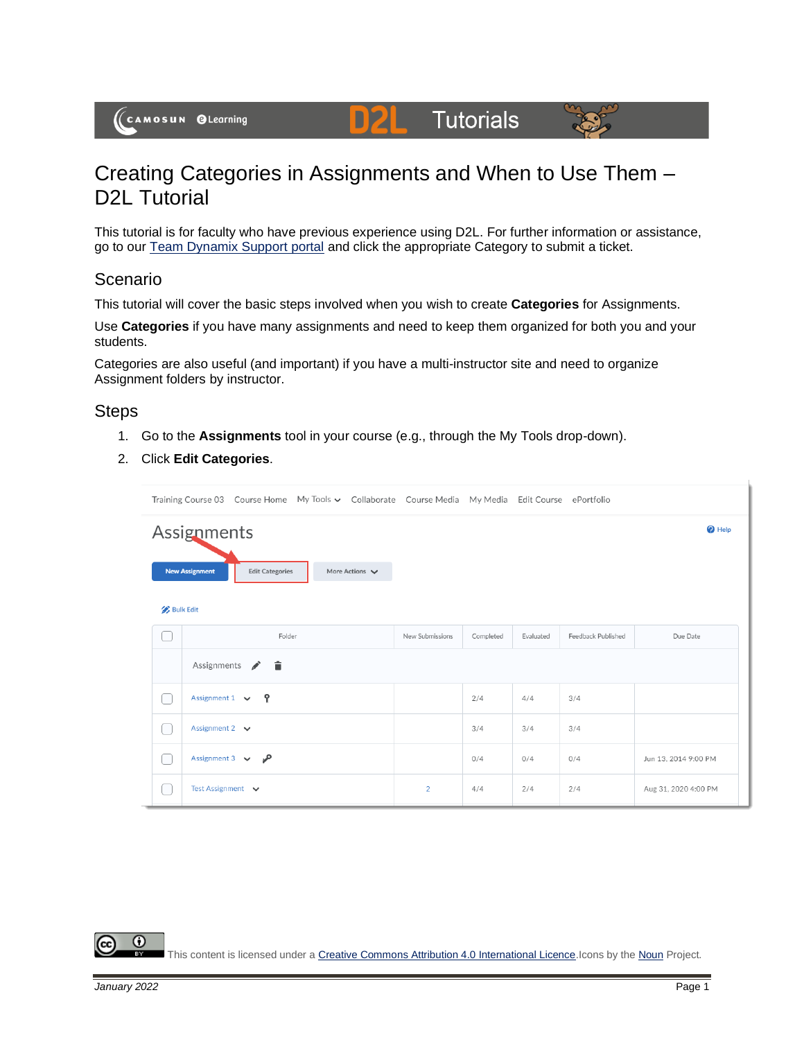(CAMOSUN @Learning

# Creating Categories in Assignments and When to Use Them – D2L Tutorial

D

This tutorial is for faculty who have previous experience using D2L. For further information or assistance, go to our [Team Dynamix Support portal](https://camosun.teamdynamix.com/TDClient/67/Portal/Requests/ServiceCatalog?CategoryID=523) and click the appropriate Category to submit a ticket.

**Tutorials** 

### Scenario

This tutorial will cover the basic steps involved when you wish to create **Categories** for Assignments.

Use **Categories** if you have many assignments and need to keep them organized for both you and your students.

Categories are also useful (and important) if you have a multi-instructor site and need to organize Assignment folders by instructor.

### **Steps**

- 1. Go to the **Assignments** tool in your course (e.g., through the My Tools drop-down).
- 2. Click **Edit Categories**.

|                  | Training Course 03 Course Home My Tools v Collaborate Course Media My Media Edit Course ePortfolio |        |                                    |                 |           |           |                    |                      |
|------------------|----------------------------------------------------------------------------------------------------|--------|------------------------------------|-----------------|-----------|-----------|--------------------|----------------------|
|                  | Assignments<br>$\bullet$ Help                                                                      |        |                                    |                 |           |           |                    |                      |
|                  | <b>New Assignment</b><br><b>Edit Categories</b>                                                    |        | More Actions $\blacktriangleright$ |                 |           |           |                    |                      |
| <b>Bulk Edit</b> |                                                                                                    |        |                                    |                 |           |           |                    |                      |
|                  |                                                                                                    | Folder |                                    | New Submissions | Completed | Evaluated | Feedback Published | Due Date             |
|                  | Assignments $\bullet$ $\blacksquare$                                                               |        |                                    |                 |           |           |                    |                      |
|                  | Assignment $1 \vee$ ?                                                                              |        |                                    |                 | 2/4       | 4/4       | 3/4                |                      |
|                  | Assignment 2 $\vee$                                                                                |        |                                    |                 | 3/4       | 3/4       | 3/4                |                      |
|                  | Assignment 3 $\vee$ $\sqrt{ }$                                                                     |        |                                    |                 | 0/4       | 0/4       | 0/4                | Jun 13, 2014 9:00 PM |
|                  | Test Assignment v                                                                                  |        |                                    | $\overline{2}$  | 4/4       | 2/4       | 2/4                | Aug 31, 2020 4:00 PM |

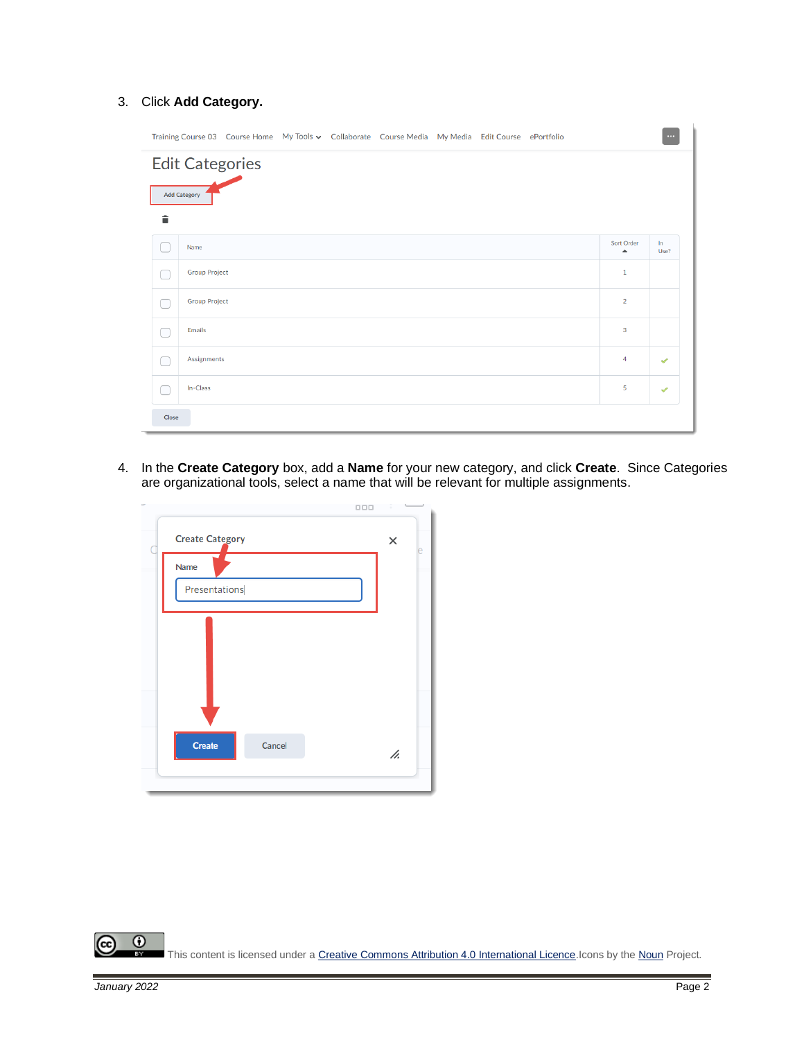#### 3. Click **Add Category.**

|                                               |                      |  |  |  | Training Course 03 Course Home My Tools v Collaborate Course Media My Media Edit Course ePortfolio |  |                                | $\cdots$      |
|-----------------------------------------------|----------------------|--|--|--|----------------------------------------------------------------------------------------------------|--|--------------------------------|---------------|
| <b>Edit Categories</b><br><b>Add Category</b> |                      |  |  |  |                                                                                                    |  |                                |               |
| 貪                                             |                      |  |  |  |                                                                                                    |  |                                |               |
|                                               | Name                 |  |  |  |                                                                                                    |  | Sort Order<br>$\blacktriangle$ | In.<br>Use?   |
|                                               | <b>Group Project</b> |  |  |  |                                                                                                    |  | $\mathbf{1}$                   |               |
|                                               | <b>Group Project</b> |  |  |  |                                                                                                    |  | $\overline{2}$                 |               |
|                                               | <b>Emails</b>        |  |  |  |                                                                                                    |  | 3                              |               |
|                                               | Assignments          |  |  |  |                                                                                                    |  | $\overline{4}$                 | $\mathscr{S}$ |
|                                               | In-Class             |  |  |  |                                                                                                    |  | 5                              | $\mathscr{Q}$ |
| Close                                         |                      |  |  |  |                                                                                                    |  |                                |               |

4. In the **Create Category** box, add a **Name** for your new category, and click **Create**. Since Categories are organizational tools, select a name that will be relevant for multiple assignments.



 $\odot$ (cc)  $\frac{1}{\sqrt{2}}$ This content is licensed under [a Creative Commons Attribution 4.0 International Licence.I](https://creativecommons.org/licenses/by/4.0/)cons by th[e Noun](https://creativecommons.org/website-icons/) Project.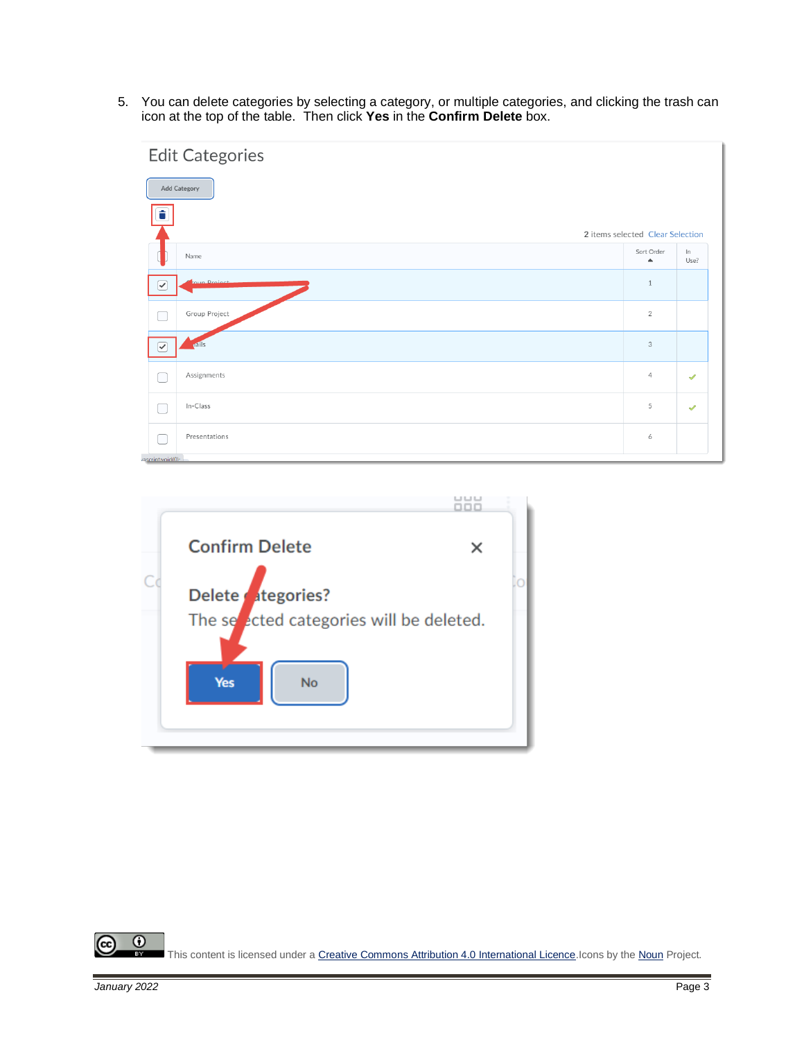5. You can delete categories by selecting a category, or multiple categories, and clicking the trash can icon at the top of the table. Then click **Yes** in the **Confirm Delete** box.





 $\odot$ (cc) This content is licensed under [a Creative Commons Attribution 4.0 International Licence.I](https://creativecommons.org/licenses/by/4.0/)cons by th[e Noun](https://creativecommons.org/website-icons/) Project. вY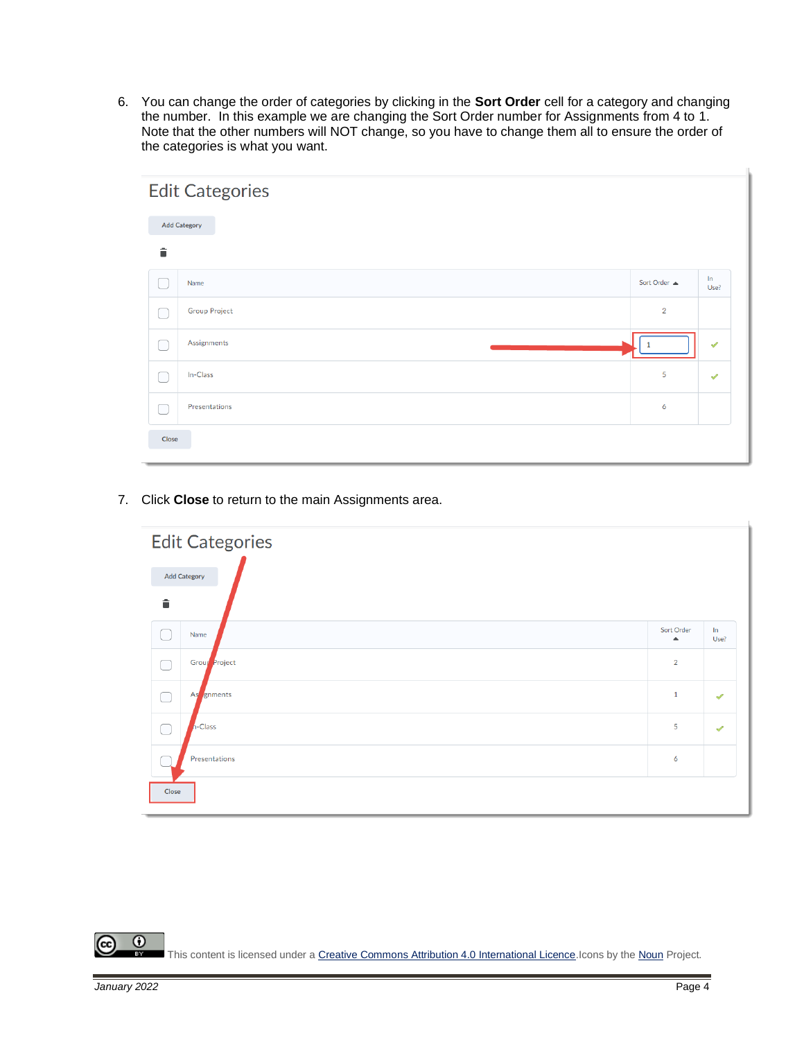6. You can change the order of categories by clicking in the **Sort Order** cell for a category and changing the number. In this example we are changing the Sort Order number for Assignments from 4 to 1. Note that the other numbers will NOT change, so you have to change them all to ensure the order of the categories is what you want.

|       | <b>Edit Categories</b> |                |                      |  |  |  |
|-------|------------------------|----------------|----------------------|--|--|--|
|       | <b>Add Category</b>    |                |                      |  |  |  |
| û     |                        |                |                      |  |  |  |
|       | Name                   | Sort Order A   | ln<br>Use?           |  |  |  |
|       | <b>Group Project</b>   | $\overline{2}$ |                      |  |  |  |
| ┌     | Assignments            |                | $\blacktriangledown$ |  |  |  |
| ┌     | In-Class               | 5              | $\checkmark$         |  |  |  |
| L     | Presentations          | 6              |                      |  |  |  |
| Close |                        |                |                      |  |  |  |

7. Click **Close** to return to the main Assignments area.



 $\odot$ (cc) This content is licensed under [a Creative Commons Attribution 4.0 International Licence.I](https://creativecommons.org/licenses/by/4.0/)cons by th[e Noun](https://creativecommons.org/website-icons/) Project. **BY**